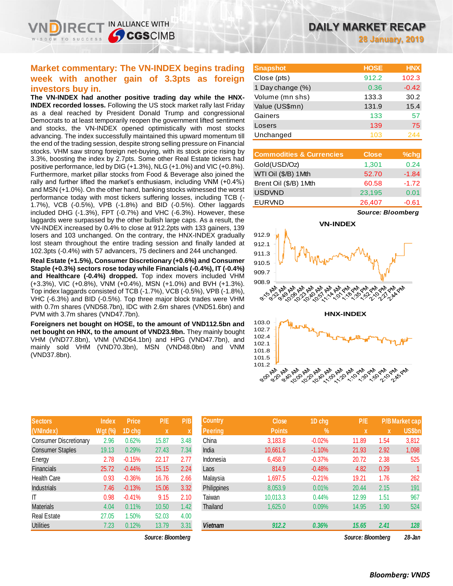IN ALLIANCE WITH

**CGSCIMB** 

**The VN-INDEX had another positive trading day while the HNX-INDEX recorded losses.** Following the US stock market rally last Friday as a deal reached by President Donald Trump and congressional Democrats to at least temporarily reopen the government lifted sentiment and stocks, the VN-INDEX opened optimistically with most stocks advancing. The index successfully maintained this upward momentum till the end of the trading session, despite strong selling pressure on Financial stocks. VHM saw strong foreign net-buying, with its stock price rising by 3.3%, boosting the index by 2.7pts. Some other Real Estate tickers had positive performance, led by DIG (+1.3%), NLG (+1.0%) and VIC (+0.8%). Furthermore, market pillar stocks from Food & Beverage also joined the rally and further lifted the market's enthusiasm, including VNM (+0.4%) and MSN (+1.0%). On the other hand, banking stocks witnessed the worst performance today with most tickers suffering losses, including TCB (- 1.7%), VCB (-0.5%), VPB (-1.8%) and BID (-0.5%). Other laggards included DHG (-1.3%), FPT (-0.7%) and VHC (-6.3%). However, these laggards were surpassed by the other bullish large caps. As a result, the VN-INDEX increased by 0.4% to close at 912.2pts with 133 gainers, 139 losers and 103 unchanged. On the contrary, the HNX-INDEX gradually lost steam throughout the entire trading session and finally landed at 102.3pts (-0.4%) with 57 advancers, 75 decliners and 244 unchanged.

**Real Estate (+1.5%), Consumer Discretionary (+0.6%) and Consumer Staple (+0.3%) sectors rose today while Financials (-0.4%), IT (-0.4%) and Healthcare (-0.4%) dropped.** Top index movers included VHM (+3.3%), VIC (+0.8%), VNM (+0.4%), MSN (+1.0%) and BVH (+1.3%). Top index laggards consisted of TCB (-1.7%), VCB (-0.5%), VPB (-1.8%), VHC (-6.3%) and BID (-0.5%). Top three major block trades were VHM with 0.7m shares (VND58.7bn), IDC with 2.6m shares (VND51.6bn) and PVM with 3.7m shares (VND47.7bn).

**Foreigners net bought on HOSE, to the amount of VND112.5bn and net bought on HNX, to the amount of VND23.9bn.** They mainly bought VHM (VND77.8bn), VNM (VND64.1bn) and HPG (VND47.7bn), and mainly sold VHM (VND70.3bn), MSN (VND48.0bn) and VNM (VND37.8bn).

| <b>Sectors</b>                | <b>Index</b> | <b>Price</b> | P/E   | P/B  |
|-------------------------------|--------------|--------------|-------|------|
| (VNIndex)                     | Wgt (%)      | 1D chg       | X     | X    |
| <b>Consumer Discretionary</b> | 2.96         | 0.62%        | 15.87 | 3.48 |
| <b>Consumer Staples</b>       | 19.13        | 0.29%        | 27.43 | 7.34 |
| Energy                        | 2.78         | $-0.15%$     | 22.17 | 2.77 |
| <b>Financials</b>             | 25.72        | $-0.44%$     | 15.15 | 2.24 |
| <b>Health Care</b>            | 0.93         | $-0.36%$     | 16.76 | 2.66 |
| <b>Industrials</b>            | 7.46         | $-0.13%$     | 15.06 | 3.32 |
| ıτ                            | 0.98         | $-0.41%$     | 9.15  | 2.10 |
| <b>Materials</b>              | 4.04         | 0.11%        | 10.50 | 1.42 |
| <b>Real Estate</b>            | 27.05        | 1.50%        | 52.03 | 4.00 |
| <b>Utilities</b>              | 7.23         | 0.12%        | 13.79 | 3.31 |

*Source: Bloomberg Source: Bloomberg 28-Jan*

**28 January, 2019**

| <b>Snapshot</b>  | <b>HOSE</b> | <b>HNX</b> |
|------------------|-------------|------------|
| Close (pts)      | 912.2       | 102.3      |
| 1 Day change (%) | 0.36        | $-0.42$    |
| Volume (mn shs)  | 133.3       | 30.2       |
| Value (US\$mn)   | 131.9       | 15.4       |
| Gainers          | 133         | 57         |
| Losers           | 139         | 75         |
| Unchanged        | 103         |            |

| <b>Commodities &amp; Currencies</b> | <b>Close</b> | $%$ chg |
|-------------------------------------|--------------|---------|
| Gold(USD/Oz)                        | 1,301        | 0.24    |
| WTI Oil (\$/B) 1Mth                 | 52.70        | $-1.84$ |
| Brent Oil (\$/B) 1Mth               | 60.58        | $-1.72$ |
| <b>USDVND</b>                       | 23,195       | 0.01    |
| <b>EURVND</b>                       | 26,407       | $-0.61$ |

*Source: Bloomberg*



| <b>Sectors</b>          | <b>Index</b>   | <b>Price</b> | P/E               | P/B  | <b>Country</b> | <b>Close</b>  | 1D chg        | P/E               |      | <b>P/BMarket cap</b> |
|-------------------------|----------------|--------------|-------------------|------|----------------|---------------|---------------|-------------------|------|----------------------|
| (VNIndex)               | <b>Wgt (%)</b> | 1D chg       | X                 |      | Peering        | <b>Points</b> | $\frac{9}{6}$ |                   | X    | US\$bn               |
| Consumer Discretionary  | 2.96           | 0.62%        | 15.87             | 3.48 | China          | 3,183.8       | $-0.02%$      | 11.89             | 1.54 | 3,812                |
| <b>Consumer Staples</b> | 19.13          | 0.29%        | 27.43             | 7.34 | India          | 10,661.6      | $-1.10%$      | 21.93             | 2.92 | 1,098                |
| Energy                  | 2.78           | $-0.15%$     | 22.17             | 2.77 | Indonesia      | 6,458.7       | $-0.37%$      | 20.72             | 2.38 | 525                  |
| Financials              | 25.72          | $-0.44%$     | 15.15             | 2.24 | Laos           | 814.9         | $-0.48%$      | 4.82              | 0.29 |                      |
| Health Care             | 0.93           | $-0.36%$     | 16.76             | 2.66 | Malaysia       | 1.697.5       | $-0.21%$      | 19.21             | 1.76 | 262                  |
| <b>Industrials</b>      | 7.46           | $-0.13%$     | 15.06             | 3.32 | Philippines    | 8,053.9       | 0.01%         | 20.44             | 2.15 | 191                  |
| ΙT                      | 0.98           | $-0.41%$     | 9.15              | 2.10 | Taiwan         | 10.013.3      | 0.44%         | 12.99             | 1.51 | 967                  |
| <b>Materials</b>        | 4.04           | 0.11%        | 10.50             | 1.42 | Thailand       | 1,625.0       | 0.09%         | 14.95             | 1.90 | 524                  |
| Real Estate             | 27.05          | 1.50%        | 52.03             | 4.00 |                |               |               |                   |      |                      |
| <b>Utilities</b>        | 7.23           | 0.12%        | 13.79             | 3.31 | <b>Vietnam</b> | 912.2         | 0.36%         | 15.65             | 2.41 | 128                  |
|                         |                |              | Source: Bloombera |      |                |               |               | Source: Bloombera |      | $28 - Jan$           |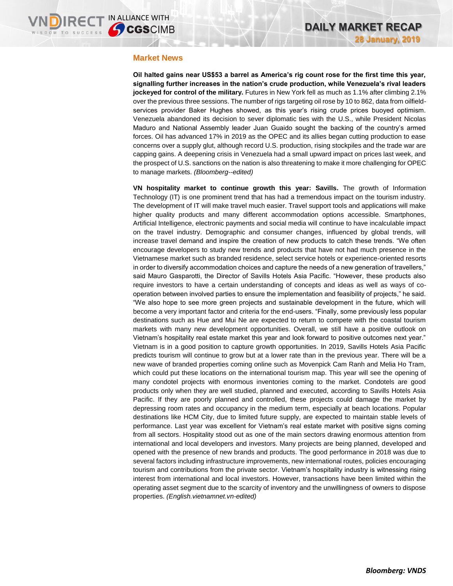### **Market News**

**Oil halted gains near US\$53 a barrel as America's rig count rose for the first time this year, signalling further increases in the nation's crude production, while Venezuela's rival leaders jockeyed for control of the military.** Futures in New York fell as much as 1.1% after climbing 2.1% over the previous three sessions. The number of rigs targeting oil rose by 10 to 862, data from oilfieldservices provider Baker Hughes showed, as this year's rising crude prices buoyed optimism. Venezuela abandoned its decision to sever diplomatic ties with the U.S., while President Nicolas Maduro and National Assembly leader Juan Guaido sought the backing of the country's armed forces. Oil has advanced 17% in 2019 as the OPEC and its allies began cutting production to ease concerns over a supply glut, although record U.S. production, rising stockpiles and the trade war are capping gains. A deepening crisis in Venezuela had a small upward impact on prices last week, and the prospect of U.S. sanctions on the nation is also threatening to make it more challenging for OPEC to manage markets. *(Bloomberg--edited)*

**VN hospitality market to continue growth this year: Savills.** The growth of Information Technology (IT) is one prominent trend that has had a tremendous impact on the tourism industry. The development of IT will make travel much easier. Travel support tools and applications will make higher quality products and many different accommodation options accessible. Smartphones, Artificial Intelligence, electronic payments and social media will continue to have incalculable impact on the travel industry. Demographic and consumer changes, influenced by global trends, will increase travel demand and inspire the creation of new products to catch these trends. "We often encourage developers to study new trends and products that have not had much presence in the Vietnamese market such as branded residence, select service hotels or experience-oriented resorts in order to diversify accommodation choices and capture the needs of a new generation of travellers," said Mauro Gasparotti, the Director of Savills Hotels Asia Pacific. "However, these products also require investors to have a certain understanding of concepts and ideas as well as ways of cooperation between involved parties to ensure the implementation and feasibility of projects," he said. "We also hope to see more green projects and sustainable development in the future, which will become a very important factor and criteria for the end-users. "Finally, some previously less popular destinations such as Hue and Mui Ne are expected to return to compete with the coastal tourism markets with many new development opportunities. Overall, we still have a positive outlook on Vietnam's hospitality real estate market this year and look forward to positive outcomes next year." Vietnam is in a good position to capture growth opportunities. In 2019, Savills Hotels Asia Pacific predicts tourism will continue to grow but at a lower rate than in the previous year. There will be a new wave of branded properties coming online such as Movenpick Cam Ranh and Melia Ho Tram, which could put these locations on the international tourism map. This year will see the opening of many condotel projects with enormous inventories coming to the market. Condotels are good products only when they are well studied, planned and executed, according to Savills Hotels Asia Pacific. If they are poorly planned and controlled, these projects could damage the market by depressing room rates and occupancy in the medium term, especially at beach locations. Popular destinations like HCM City, due to limited future supply, are expected to maintain stable levels of performance. Last year was excellent for Vietnam's real estate market with positive signs coming from all sectors. Hospitality stood out as one of the main sectors drawing enormous attention from international and local developers and investors. Many projects are being planned, developed and opened with the presence of new brands and products. The good performance in 2018 was due to several factors including infrastructure improvements, new international routes, policies encouraging tourism and contributions from the private sector. Vietnam's hospitality industry is witnessing rising interest from international and local investors. However, transactions have been limited within the operating asset segment due to the scarcity of inventory and the unwillingness of owners to dispose properties. *(English.vietnamnet.vn-edited)*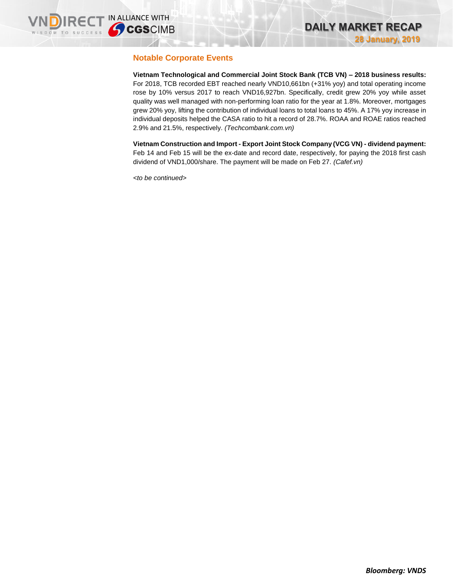# **Notable Corporate Events**

**Vietnam Technological and Commercial Joint Stock Bank (TCB VN) – 2018 business results:** For 2018, TCB recorded EBT reached nearly VND10,661bn (+31% yoy) and total operating income rose by 10% versus 2017 to reach VND16,927bn. Specifically, credit grew 20% yoy while asset quality was well managed with non-performing loan ratio for the year at 1.8%. Moreover, mortgages grew 20% yoy, lifting the contribution of individual loans to total loans to 45%. A 17% yoy increase in individual deposits helped the CASA ratio to hit a record of 28.7%. ROAA and ROAE ratios reached 2.9% and 21.5%, respectively. *(Techcombank.com.vn)*

**Vietnam Construction and Import - Export Joint Stock Company (VCG VN) - dividend payment:**  Feb 14 and Feb 15 will be the ex-date and record date, respectively, for paying the 2018 first cash dividend of VND1,000/share. The payment will be made on Feb 27. *(Cafef.vn)*

*<to be continued>*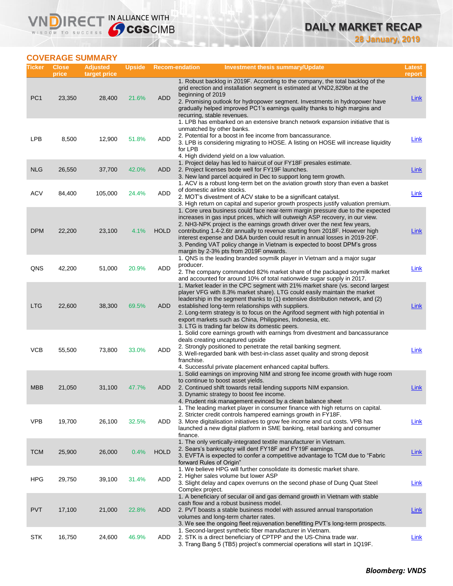# **COVERAGE SUMMARY**

WISDOM TO SUCCESS

VND

**IRECT IN ALLIANCE WITH** 

| Ticker          | <b>Close</b><br>price | <b>Adjusted</b><br>target price | <b>Upside</b> | <b>Recom-endation</b> |                          | <b>Investment thesis summary/Update</b>                                                                                                                                                                                                                                                                                                                                                                                                                                                                                          | Latest<br>report |
|-----------------|-----------------------|---------------------------------|---------------|-----------------------|--------------------------|----------------------------------------------------------------------------------------------------------------------------------------------------------------------------------------------------------------------------------------------------------------------------------------------------------------------------------------------------------------------------------------------------------------------------------------------------------------------------------------------------------------------------------|------------------|
| PC <sub>1</sub> | 23,350                | 28,400                          | 21.6%         | <b>ADD</b>            | beginning of 2019        | 1. Robust backlog in 2019F. According to the company, the total backlog of the<br>grid erection and installation segment is estimated at VND2,829bn at the<br>2. Promising outlook for hydropower segment. Investments in hydropower have<br>gradually helped improved PC1's earnings quality thanks to high margins and<br>recurring, stable revenues.                                                                                                                                                                          | Link             |
| <b>LPB</b>      | 8,500                 | 12,900                          | 51.8%         | ADD                   | for LPB                  | 1. LPB has embarked on an extensive branch network expansion initiative that is<br>unmatched by other banks.<br>2. Potential for a boost in fee income from bancassurance.<br>3. LPB is considering migrating to HOSE. A listing on HOSE will increase liquidity<br>4. High dividend yield on a low valuation.                                                                                                                                                                                                                   | Link             |
| <b>NLG</b>      | 26,550                | 37,700                          | 42.0%         | <b>ADD</b>            |                          | 1. Project delay has led to haircut of our FY18F presales estimate.<br>2. Project licenses bode well for FY19F launches.<br>3. New land parcel acquired in Dec to support long term growth.                                                                                                                                                                                                                                                                                                                                      | Link             |
| <b>ACV</b>      | 84,400                | 105,000                         | 24.4%         | ADD                   |                          | 1. ACV is a robust long-term bet on the aviation growth story than even a basket<br>of domestic airline stocks.<br>2. MOT's divestment of ACV stake to be a significant catalyst.<br>3. High return on capital and superior growth prospects justify valuation premium.                                                                                                                                                                                                                                                          | Link             |
| <b>DPM</b>      | 22,200                | 23,100                          | 4.1%          | <b>HOLD</b>           |                          | 1. Core urea business could face near-term margin pressure due to the expected<br>increases in gas input prices, which will outweigh ASP recovery, in our view.<br>2. NH3-NPK project is the earnings growth driver over the next few years,<br>contributing 1.4-2.6tr annually to revenue starting from 2018F. However high<br>interest expense and D&A burden could result in annual losses in 2019-20F.<br>3. Pending VAT policy change in Vietnam is expected to boost DPM's gross<br>margin by 2-3% pts from 2019F onwards. | Link             |
| QNS             | 42,200                | 51,000                          | 20.9%         | ADD                   | producer.                | 1. QNS is the leading branded soymilk player in Vietnam and a major sugar<br>2. The company commanded 82% market share of the packaged soymilk market<br>and accounted for around 10% of total nationwide sugar supply in 2017.                                                                                                                                                                                                                                                                                                  | Link             |
| <b>LTG</b>      | 22,600                | 38,300                          | 69.5%         | ADD                   |                          | 1. Market leader in the CPC segment with 21% market share (vs. second largest<br>player VFG with 8.3% market share). LTG could easily maintain the market<br>leadership in the segment thanks to (1) extensive distribution network, and (2)<br>established long-term relationships with suppliers.<br>2. Long-term strategy is to focus on the Agrifood segment with high potential in<br>export markets such as China, Philippines, Indonesia, etc.<br>3. LTG is trading far below its domestic peers.                         | <b>Link</b>      |
| <b>VCB</b>      | 55,500                | 73,800                          | 33.0%         | ADD                   | franchise.               | 1. Solid core earnings growth with earnings from divestment and bancassurance<br>deals creating uncaptured upside<br>2. Strongly positioned to penetrate the retail banking segment.<br>3. Well-regarded bank with best-in-class asset quality and strong deposit<br>4. Successful private placement enhanced capital buffers.                                                                                                                                                                                                   | Link             |
| <b>MBB</b>      | 21,050                | 31,100                          | 47.7%         | ADD                   |                          | 1. Solid earnings on improving NIM and strong fee income growth with huge room<br>to continue to boost asset yields.<br>2. Continued shift towards retail lending supports NIM expansion.<br>3. Dynamic strategy to boost fee income.<br>4. Prudent risk management evinced by a clean balance sheet                                                                                                                                                                                                                             | Link             |
| <b>VPB</b>      | 19,700                | 26,100                          | 32.5%         | ADD                   | finance.                 | 1. The leading market player in consumer finance with high returns on capital.<br>2. Stricter credit controls hampered earnings growth in FY18F.<br>3. More digitalisation initiatives to grow fee income and cut costs. VPB has<br>launched a new digital platform in SME banking, retail banking and consumer                                                                                                                                                                                                                  | Link             |
| <b>TCM</b>      | 25,900                | 26,000                          | 0.4%          | <b>HOLD</b>           | forward Rules of Origin" | 1. The only vertically-integrated textile manufacturer in Vietnam.<br>2. Sears's bankruptcy will dent FY18F and FY19F earnings.<br>3. EVFTA is expected to confer a competitive advantage to TCM due to "Fabric"                                                                                                                                                                                                                                                                                                                 | Link             |
| <b>HPG</b>      | 29,750                | 39,100                          | 31.4%         | ADD                   | Complex project.         | 1. We believe HPG will further consolidate its domestic market share.<br>2. Higher sales volume but lower ASP<br>3. Slight delay and capex overruns on the second phase of Dung Quat Steel                                                                                                                                                                                                                                                                                                                                       | <u>Link</u>      |
| <b>PVT</b>      | 17,100                | 21,000                          | 22.8%         | ADD                   |                          | 1. A beneficiary of secular oil and gas demand growth in Vietnam with stable<br>cash flow and a robust business model.<br>2. PVT boasts a stable business model with assured annual transportation<br>volumes and long-term charter rates.<br>3. We see the ongoing fleet rejuvenation benefitting PVT's long-term prospects.                                                                                                                                                                                                    | <b>Link</b>      |
| <b>STK</b>      | 16,750                | 24,600                          | 46.9%         | ADD                   |                          | 1. Second-largest synthetic fiber manufacturer in Vietnam.<br>2. STK is a direct beneficiary of CPTPP and the US-China trade war.<br>3. Trang Bang 5 (TB5) project's commercial operations will start in 1Q19F.                                                                                                                                                                                                                                                                                                                  | <b>Link</b>      |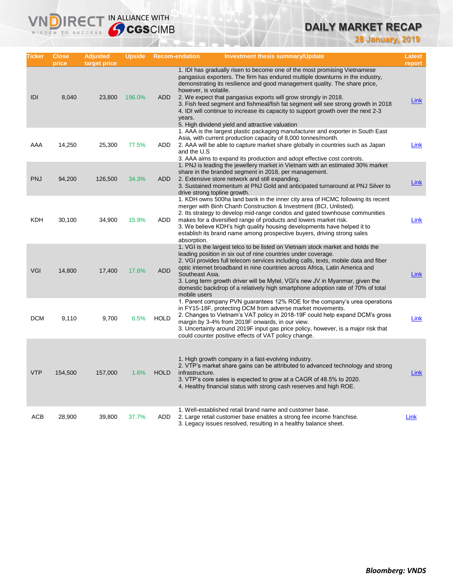# **DAILY MARKET RECAP**

**28 January, 2019**

| Ticker     | Close<br>price | Adjusted<br>target price | Upside |             | <b>Recom-endation</b>           | <b>Investment thesis summary/Update</b>                                                                                                                                                                                                                                                                                                                                                                                                                                                                                                  | Latest<br>report |
|------------|----------------|--------------------------|--------|-------------|---------------------------------|------------------------------------------------------------------------------------------------------------------------------------------------------------------------------------------------------------------------------------------------------------------------------------------------------------------------------------------------------------------------------------------------------------------------------------------------------------------------------------------------------------------------------------------|------------------|
| IDI        | 8,040          | 23,800                   | 196.0% | <b>ADD</b>  | however, is volatile.<br>years. | 1. IDI has gradually risen to become one of the most promising Vietnamese<br>pangasius exporters. The firm has endured multiple downturns in the industry,<br>demonstrating its resilience and good management quality. The share price,<br>2. We expect that pangasius exports will grow strongly in 2018.<br>3. Fish feed segment and fishmeal/fish fat segment will see strong growth in 2018<br>4. IDI will continue to increase its capacity to support growth over the next 2-3<br>5. High dividend yield and attractive valuation | Link             |
| AAA        | 14,250         | 25,300                   | 77.5%  | <b>ADD</b>  | and the U.S                     | 1. AAA is the largest plastic packaging manufacturer and exporter in South East<br>Asia, with current production capacity of 8,000 tonnes/month.<br>2. AAA will be able to capture market share globally in countries such as Japan<br>3. AAA aims to expand its production and adopt effective cost controls.                                                                                                                                                                                                                           | Link             |
| <b>PNJ</b> | 94,200         | 126,500                  | 34.3%  | ADD         |                                 | 1. PNJ is leading the jewellery market in Vietnam with an estimated 30% market<br>share in the branded segment in 2018, per management.<br>2. Extensive store network and still expanding.<br>3. Sustained momentum at PNJ Gold and anticipated turnaround at PNJ Silver to<br>drive strong topline growth.                                                                                                                                                                                                                              | Link             |
| KDH        | 30,100         | 34,900                   | 15.9%  | <b>ADD</b>  | absorption.                     | 1. KDH owns 500ha land bank in the inner city area of HCMC following its recent<br>merger with Binh Chanh Construction & Investment (BCI, Unlisted).<br>2. Its strategy to develop mid-range condos and gated townhouse communities<br>makes for a diversified range of products and lowers market risk.<br>3. We believe KDH's high quality housing developments have helped it to<br>establish its brand name among prospective buyers, driving strong sales                                                                           | Link             |
| <b>VGI</b> | 14,800         | 17,400                   | 17.6%  | <b>ADD</b>  | Southeast Asia.<br>mobile users | 1. VGI is the largest telco to be listed on Vietnam stock market and holds the<br>leading position in six out of nine countries under coverage.<br>2. VGI provides full telecom services including calls, texts, mobile data and fiber<br>optic internet broadband in nine countries across Africa, Latin America and<br>3. Long term growth driver will be Mytel, VGI's new JV in Myanmar, given the<br>domestic backdrop of a relatively high smartphone adoption rate of 70% of total                                                 | Link             |
| <b>DCM</b> | 9,110          | 9,700                    | 6.5%   | <b>HOLD</b> |                                 | 1. Parent company PVN guarantees 12% ROE for the company's urea operations<br>in FY15-18F, protecting DCM from adverse market movements.<br>2. Changes to Vietnam's VAT policy in 2018-19F could help expand DCM's gross<br>margin by 3-4% from 2019F onwards, in our view.<br>3. Uncertainty around 2019F input gas price policy, however, is a major risk that<br>could counter positive effects of VAT policy change.                                                                                                                 | Link             |
| <b>VTP</b> | 154,500        | 157,000                  | 1.6%   | <b>HOLD</b> | infrastructure.                 | 1. High growth company in a fast-evolving industry.<br>2. VTP's market share gains can be attributed to advanced technology and strong<br>3. VTP's core sales is expected to grow at a CAGR of 48.5% to 2020.<br>4. Healthy financial status with strong cash reserves and high ROE.                                                                                                                                                                                                                                                     | Link             |
| ACB        | 28,900         | 39,800                   | 37.7%  | ADD         |                                 | 1. Well-established retail brand name and customer base.<br>2. Large retail customer base enables a strong fee income franchise.<br>3. Legacy issues resolved, resulting in a healthy balance sheet.                                                                                                                                                                                                                                                                                                                                     | Link             |

**VNDIRECT IN ALLIANCE WITH**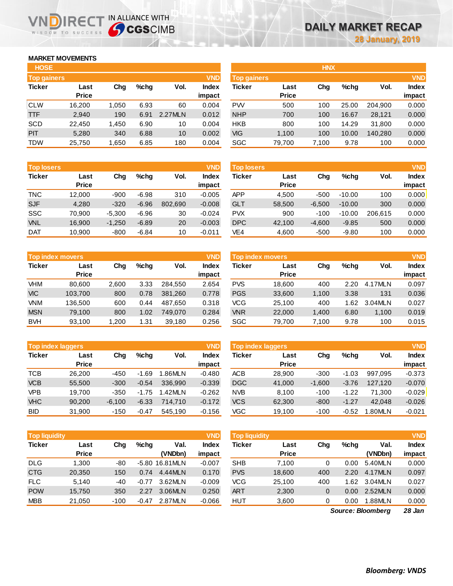## **MARKET MOVEMENTS**

WISDOM TO SUCCESS

ה

| <b>HOSE</b>        |              |       |      |         |              |
|--------------------|--------------|-------|------|---------|--------------|
| <b>Top gainers</b> |              |       |      |         | <b>VND</b>   |
| <b>Ticker</b>      | Last         | Cha   | %chq | Vol.    | <b>Index</b> |
|                    | <b>Price</b> |       |      |         | impact       |
| <b>CLW</b>         | 16,200       | 1,050 | 6.93 | 60      | 0.004        |
| <b>TTF</b>         | 2.940        | 190   | 6.91 | 2.27MLN | 0.012        |
| <b>SCD</b>         | 22,450       | 1,450 | 6.90 | 10      | 0.004        |
| PIT                | 5,280        | 340   | 6.88 | 10      | 0.002        |
| <b>TDW</b>         | 25,750       | 1,650 | 6.85 | 180     | 0.004        |

IRECT IN ALLIANCE WITH

| <b>Top losers</b> |              |          |         |         | <b>VND</b>   |
|-------------------|--------------|----------|---------|---------|--------------|
| <b>Ticker</b>     | Last         | Cha      | %chq    | Vol.    | <b>Index</b> |
|                   | <b>Price</b> |          |         |         | impact       |
| <b>TNC</b>        | 12,000       | $-900$   | $-6.98$ | 310     | $-0.005$     |
| <b>SJF</b>        | 4.280        | $-320$   | $-6.96$ | 802.690 | $-0.008$     |
| <b>SSC</b>        | 70,900       | $-5,300$ | $-6.96$ | 30      | $-0.024$     |
| <b>VNL</b>        | 16,900       | $-1,250$ | $-6.89$ | 20      | $-0.003$     |
| <b>DAT</b>        | 10.900       | $-800$   | $-6.84$ | 10      | $-0.011$     |

| <b>VND</b><br><b>Top index movers</b> |              |       |      |         |              |  |  |  |  |
|---------------------------------------|--------------|-------|------|---------|--------------|--|--|--|--|
| <b>Ticker</b>                         | Last         | Cha   | %chq | Vol.    | <b>Index</b> |  |  |  |  |
|                                       | <b>Price</b> |       |      |         | impact       |  |  |  |  |
| <b>VHM</b>                            | 80,600       | 2,600 | 3.33 | 284,550 | 2.654        |  |  |  |  |
| <b>VIC</b>                            | 103,700      | 800   | 0.78 | 381,260 | 0.778        |  |  |  |  |
| <b>VNM</b>                            | 136,500      | 600   | 0.44 | 487,650 | 0.318        |  |  |  |  |
| <b>MSN</b>                            | 79,100       | 800   | 1.02 | 749.070 | 0.284        |  |  |  |  |
| <b>BVH</b>                            | 93,100       | 1,200 | 1.31 | 39,180  | 0.256        |  |  |  |  |

|               | <b>VND</b><br><b>Top index laggers</b> |          |         |         |              |  |  |  |  |  |
|---------------|----------------------------------------|----------|---------|---------|--------------|--|--|--|--|--|
| <b>Ticker</b> | Last                                   | Cha      | %chq    | Vol.    | <b>Index</b> |  |  |  |  |  |
|               | <b>Price</b>                           |          |         |         | impact       |  |  |  |  |  |
| <b>TCB</b>    | 26,200                                 | -450     | $-1.69$ | 1.86MLN | $-0.480$     |  |  |  |  |  |
| <b>VCB</b>    | 55,500                                 | $-300$   | $-0.54$ | 336.990 | $-0.339$     |  |  |  |  |  |
| <b>VPB</b>    | 19.700                                 | $-350$   | $-1.75$ | 1.42MLN | $-0.262$     |  |  |  |  |  |
| <b>VHC</b>    | 90,200                                 | $-6,100$ | $-6.33$ | 714.710 | $-0.172$     |  |  |  |  |  |
| <b>BID</b>    | 31,900                                 | $-150$   | $-0.47$ | 545,190 | $-0.156$     |  |  |  |  |  |

| <b>Top liquidity</b><br><b>VND</b> |              |        |         |                |              |  |  |  |  |
|------------------------------------|--------------|--------|---------|----------------|--------------|--|--|--|--|
| <b>Ticker</b>                      | Last         | Cha    | %chq    | Val.           | <b>Index</b> |  |  |  |  |
|                                    | <b>Price</b> |        |         | (VNDbn)        | impact       |  |  |  |  |
| <b>DLG</b>                         | 1.300        | -80    |         | -5.80 16.81MLN | $-0.007$     |  |  |  |  |
| <b>CTG</b>                         | 20,350       | 150    | 0.74    | 4.44MLN        | 0.170        |  |  |  |  |
| <b>FLC</b>                         | 5,140        | -40    | $-0.77$ | 3.62MLN        | $-0.009$     |  |  |  |  |
| <b>POW</b>                         | 15,750       | 350    | 2.27    | 3.06MLN        | 0.250        |  |  |  |  |
| <b>MBB</b>                         | 21,050       | $-100$ | $-0.47$ | 2.87MLN        | $-0.066$     |  |  |  |  |

| <b>HOSE</b>        |              |       |      |         |              |                    |              | <b>HNX</b> |       |         |              |
|--------------------|--------------|-------|------|---------|--------------|--------------------|--------------|------------|-------|---------|--------------|
| <b>Top gainers</b> |              |       |      |         | <b>VND</b>   | <b>Top gainers</b> |              |            |       |         | <b>VND</b>   |
| Ticker             | Last         | Chg   | %chg | Vol.    | <b>Index</b> | Ticker             | Last         | Chg        | %chg  | Vol.    | <b>Index</b> |
|                    | <b>Price</b> |       |      |         | impact       |                    | <b>Price</b> |            |       |         | impact       |
| CLW                | 16,200       | 1,050 | 6.93 | 60      | 0.004        | <b>PW</b>          | 500          | 100        | 25.00 | 204.900 | 0.000        |
| TTF                | 2,940        | 190   | 6.91 | 2.27MLN | 0.012        | <b>NHP</b>         | 700          | 100        | 16.67 | 28,121  | 0.000        |
| SCD                | 22,450       | 1.450 | 6.90 | 10      | 0.004        | <b>HKB</b>         | 800          | 100        | 14.29 | 31,800  | 0.000        |
| <b>PIT</b>         | 5,280        | 340   | 6.88 | 10      | 0.002        | VIG                | 1.100        | 100        | 10.00 | 140.280 | 0.000        |
| TDW                | 25,750       | 1,650 | 6.85 | 180     | 0.004        | SGC                | 79,700       | 7,100      | 9.78  | 100     | 0.000        |
|                    |              |       |      |         |              |                    |              |            |       |         |              |

| <b>Top losers</b> |              |          |         |         | <b>VND</b>   | <b>Top losers</b> |              |          |          |         | <b>VND</b>   |
|-------------------|--------------|----------|---------|---------|--------------|-------------------|--------------|----------|----------|---------|--------------|
| Ticker            | Last         | Chg      | %chq    | Vol.    | <b>Index</b> | Ticker            | Last         | Chg      | %chq     | Vol.    | <b>Index</b> |
|                   | <b>Price</b> |          |         |         | impact       |                   | <b>Price</b> |          |          |         | impact       |
| <b>TNC</b>        | 12.000       | $-900$   | $-6.98$ | 310     | $-0.005$     | <b>APP</b>        | 4,500        | $-500$   | $-10.00$ | 100     | 0.000        |
| <b>SJF</b>        | 4,280        | $-320$   | $-6.96$ | 802,690 | $-0.008$     | <b>GLT</b>        | 58,500       | $-6,500$ | $-10.00$ | 300     | 0.000        |
| SSC               | 70.900       | $-5,300$ | $-6.96$ | 30      | $-0.024$     | <b>PVX</b>        | 900          | $-100$   | $-10.00$ | 206,615 | 0.000        |
| VNL               | 16,900       | $-1,250$ | $-6.89$ | 20      | $-0.003$     | <b>DPC</b>        | 42,100       | $-4,600$ | $-9.85$  | 500     | 0.000        |
| <b>DAT</b>        | 10,900       | $-800$   | $-6.84$ | 10      | $-0.011$     | VE4               | 4,600        | $-500$   | $-9.80$  | 100     | 0.000        |
|                   |              |          |         |         |              |                   |              |          |          |         |              |

|            | <b>Top index movers</b> |       |      |         | <b>VND</b>   | Top index movers |              |       |      |         | <b>VND</b>   |
|------------|-------------------------|-------|------|---------|--------------|------------------|--------------|-------|------|---------|--------------|
| Ticker     | Last                    | Chg   | %chq | Vol.    | <b>Index</b> | Ticker           | Last         | Chg   | %chq | Vol.    | <b>Index</b> |
|            | <b>Price</b>            |       |      |         | impact       |                  | <b>Price</b> |       |      |         | impact       |
| VHM        | 80.600                  | 2,600 | 3.33 | 284.550 | 2.654        | <b>PVS</b>       | 18.600       | 400   | 2.20 | 4.17MLN | 0.097        |
| <b>VIC</b> | 103.700                 | 800   | 0.78 | 381.260 | 0.778        | <b>PGS</b>       | 33,600       | 1,100 | 3.38 | 131     | 0.036        |
| <b>VNM</b> | 136.500                 | 600   | 0.44 | 487.650 | 0.318        | VCG              | 25.100       | 400   | .62  | 3.04MLN | 0.027        |
| <b>MSN</b> | 79.100                  | 800   | 1.02 | 749.070 | 0.284        | <b>VNR</b>       | 22,000       | 1.400 | 6.80 | 1,100   | 0.019        |
| <b>BVH</b> | 93,100                  | 1,200 | 1.31 | 39,180  | 0.256        | SGC              | 79,700       | 7,100 | 9.78 | 100     | 0.015        |

| <b>Top index laggers</b> |              |          |         |         | <b>VND</b> | Top index laggers |              |          |         |         |              |
|--------------------------|--------------|----------|---------|---------|------------|-------------------|--------------|----------|---------|---------|--------------|
| Ticker                   | Last         | Chg      | %chq    | Vol.    | Index      | Ticker            | Last         | Chg      | %chq    | Vol.    | <b>Index</b> |
|                          | <b>Price</b> |          |         |         | impact     |                   | <b>Price</b> |          |         |         | impact       |
| TCB                      | 26.200       | $-450$   | $-1.69$ | 1.86MLN | $-0.480$   | <b>ACB</b>        | 28,900       | $-300$   | $-1.03$ | 997.095 | $-0.373$     |
| <b>VCB</b>               | 55,500       | $-300$   | $-0.54$ | 336.990 | $-0.339$   | <b>DGC</b>        | 41,000       | $-1.600$ | $-3.76$ | 127.120 | $-0.070$     |
| <b>VPB</b>               | 19.700       | $-350$   | $-1.75$ | 1.42MLN | $-0.262$   | <b>NVB</b>        | 8.100        | $-100$   | $-1.22$ | 71.300  | $-0.029$     |
| <b>VHC</b>               | 90.200       | $-6.100$ | $-6.33$ | 714.710 | $-0.172$   | <b>VCS</b>        | 62,300       | $-800$   | $-1.27$ | 42.048  | $-0.026$     |
| BID                      | 31,900       | $-150$   | $-0.47$ | 545.190 | $-0.156$   | VGC               | 19,100       | $-100$   | $-0.52$ | 1.80MLN | $-0.021$     |

| <b>Top liquidity</b> |              |        |         |                | <b>VND</b>   | <b>Top liquidity</b> |              |     |         |         | <b>VND</b>   |
|----------------------|--------------|--------|---------|----------------|--------------|----------------------|--------------|-----|---------|---------|--------------|
| Ticker               | Last         | Chg    | %chq    | Val.           | <b>Index</b> | Ticker               | Last         | Chg | $%$ chq | Val.    | <b>Index</b> |
|                      | <b>Price</b> |        |         | (VNDbn)        | impact       |                      | <b>Price</b> |     |         | (VNDbn) | impact       |
| DLG                  | 1,300        | -80    |         | -5.80 16.81MLN | $-0.007$     | <b>SHB</b>           | 7.100        | 0   | 0.00    | 5.40MLN | 0.000        |
| CTG                  | 20,350       | 150    | 0.74    | 4.44MLN        | 0.170        | <b>PVS</b>           | 18,600       | 400 | 2.20    | 4.17MLN | 0.097        |
| <b>FLC</b>           | 5.140        | -40    | $-0.77$ | 3.62MLN        | $-0.009$     | <b>VCG</b>           | 25.100       | 400 | .62     | 3.04MLN | 0.027        |
| <b>POW</b>           | 15,750       | 350    | 2.27    | 3.06MLN        | 0.250        | <b>ART</b>           | 2,300        | 0   | 0.00    | 2.52MLN | 0.000        |
| <b>MBB</b>           | 21,050       | $-100$ | -0.47   | 2.87MLN        | $-0.066$     | HUT                  | 3,600        |     | 0.00    | 1.88MLN | 0.000        |
|                      |              |        |         |                |              |                      |              |     |         |         |              |

*28 Jan Source: Bloomberg*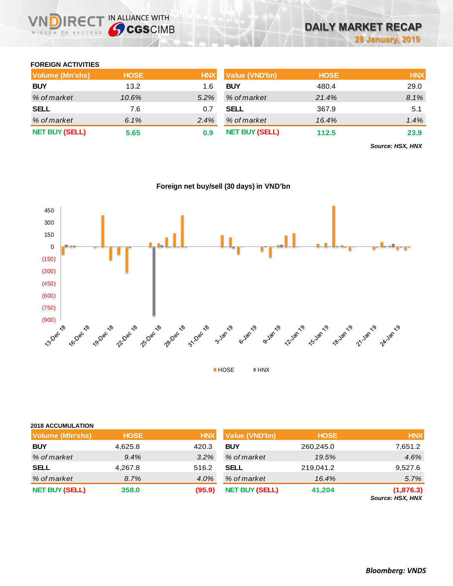### **FOREIGN ACTIVITIES**

WISDOM TO SUCCESS

**VNDIRECT IN ALLIANCE WITH** 

| <b>Volume (Mn'shs)</b> | <b>HOSE</b> | <b>HNX</b> | Value (VND'bn)        | <b>HOSE</b> | <b>HNX</b> |
|------------------------|-------------|------------|-----------------------|-------------|------------|
| <b>BUY</b>             | 13.2        | 1.6        | <b>BUY</b>            | 480.4       | 29.0       |
| % of market            | 10.6%       | $5.2\%$    | % of market           | 21.4%       | 8.1%       |
| <b>SELL</b>            | 7.6         | 0.7        | <b>SELL</b>           | 367.9       | 5.1        |
| % of market            | 6.1%        | $2.4\%$    | % of market           | 16.4%       | 1.4%       |
| <b>NET BUY (SELL)</b>  | 5.65        | 0.9        | <b>NET BUY (SELL)</b> | 112.5       | 23.9       |

*Source: HSX, HNX*



# **Foreign net buy/sell (30 days) in VND'bn**

### **2018 ACCUMULATION**

| Volume (MIn'shs)      | <b>HOSE</b> | <b>HNX</b> | <b>Value (VND'bn)</b> | <b>HOSE</b> | <b>HNX</b>                    |
|-----------------------|-------------|------------|-----------------------|-------------|-------------------------------|
| <b>BUY</b>            | 4,625.8     | 420.3      | <b>BUY</b>            | 260,245.0   | 7,651.2                       |
| % of market           | 9.4%        | $3.2\%$    | % of market           | 19.5%       | 4.6%                          |
| <b>SELL</b>           | 4,267.8     | 516.2      | <b>SELL</b>           | 219,041.2   | 9,527.6                       |
| % of market           | 8.7%        | 4.0%       | % of market           | 16.4%       | 5.7%                          |
| <b>NET BUY (SELL)</b> | 358.0       | (95.9)     | <b>NET BUY (SELL)</b> | 41.204      | (1,876.3)<br>Source: HSX, HNX |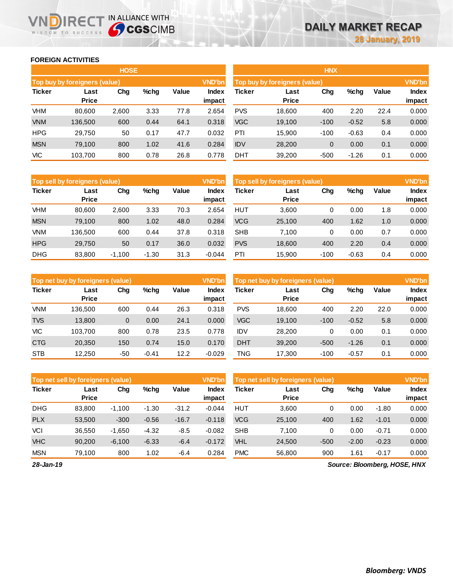### **FOREIGN ACTIVITIES**

WISDOM TO SUCCESS

n

|               |                               | <b>HOSE</b> |         |       |                 |            |                               | <b>HNX</b> |         |       |                 |
|---------------|-------------------------------|-------------|---------|-------|-----------------|------------|-------------------------------|------------|---------|-------|-----------------|
|               | Top buy by foreigners (value) |             |         |       | <b>VND'bn</b>   |            | Top buy by foreigners (value) |            |         |       | <b>VND'bn</b>   |
| <b>Ticker</b> | Last<br><b>Price</b>          | Chg         | $%$ chg | Value | Index<br>impact | Ticker     | Last<br><b>Price</b>          | Chg        | $%$ chg | Value | Index<br>impact |
| VHM           | 80,600                        | 2,600       | 3.33    | 77.8  | 2.654           | <b>PVS</b> | 18.600                        | 400        | 2.20    | 22.4  | 0.000           |
| <b>VNM</b>    | 136,500                       | 600         | 0.44    | 64.1  | 0.318           | <b>VGC</b> | 19,100                        | $-100$     | $-0.52$ | 5.8   | 0.000           |
| <b>HPG</b>    | 29,750                        | 50          | 0.17    | 47.7  | 0.032           | PTI        | 15.900                        | $-100$     | $-0.63$ | 0.4   | 0.000           |
| <b>MSN</b>    | 79,100                        | 800         | 1.02    | 41.6  | 0.284           | <b>IDV</b> | 28,200                        | 0          | 0.00    | 0.1   | 0.000           |
| VIC           | 103,700                       | 800         | 0.78    | 26.8  | 0.778           | DHT        | 39,200                        | $-500$     | $-1.26$ | 0.1   | 0.000           |

**IRECT IN ALLIANCE WITH** 

|               |                               | <b>HNX</b> |         |       |                        |
|---------------|-------------------------------|------------|---------|-------|------------------------|
|               | Top buy by foreigners (value) |            |         |       | <b>VND'bn</b>          |
| <b>Ticker</b> | Last<br><b>Price</b>          | Cha        | %chq    | Value | <b>Index</b><br>impact |
| <b>PVS</b>    | 18,600                        | 400        | 2.20    | 22.4  | 0.000                  |
| <b>VGC</b>    | 19,100                        | -100       | $-0.52$ | 5.8   | 0.000                  |
| PTI           | 15,900                        | $-100$     | $-0.63$ | 0.4   | 0.000                  |
| <b>IDV</b>    | 28,200                        | $\Omega$   | 0.00    | 0.1   | 0.000                  |
| DHT           | 39,200                        | -500       | $-1.26$ | 0.1   | 0.000                  |

|               | Top sell by foreigners (value) |          |         |       | <b>VND'bn</b>          |            | Top sell by foreigners (value) |        |         |       | <b>VND'bn</b>          |
|---------------|--------------------------------|----------|---------|-------|------------------------|------------|--------------------------------|--------|---------|-------|------------------------|
| <b>Ticker</b> | Last<br><b>Price</b>           | Chg      | %chg    | Value | <b>Index</b><br>impact | Ticker     | Last<br><b>Price</b>           | Chg    | %chg    | Value | <b>Index</b><br>impact |
| <b>VHM</b>    | 80.600                         | 2,600    | 3.33    | 70.3  | 2.654                  | HUT        | 3,600                          | 0      | 0.00    | 1.8   | 0.000                  |
| <b>MSN</b>    | 79.100                         | 800      | 1.02    | 48.0  | 0.284                  | <b>VCG</b> | 25,100                         | 400    | 1.62    | 1.0   | 0.000                  |
| VNM           | 136.500                        | 600      | 0.44    | 37.8  | 0.318                  | <b>SHB</b> | 7.100                          | 0      | 0.00    | 0.7   | 0.000                  |
| <b>HPG</b>    | 29,750                         | 50       | 0.17    | 36.0  | 0.032                  | <b>PVS</b> | 18,600                         | 400    | 2.20    | 0.4   | 0.000                  |
| <b>DHG</b>    | 83.800                         | $-1.100$ | $-1.30$ | 31.3  | $-0.044$               | PTI        | 15.900                         | $-100$ | $-0.63$ | 0.4   | 0.000                  |

|               | Top net buy by foreigners (value) |     |         |       |                 | <b>VND'bn</b><br>Top net buy by foreigners (value) |                      |        |         |       | <b>VND'bn</b>          |  |
|---------------|-----------------------------------|-----|---------|-------|-----------------|----------------------------------------------------|----------------------|--------|---------|-------|------------------------|--|
| <b>Ticker</b> | Last<br><b>Price</b>              | Chg | $%$ chg | Value | Index<br>impact | Ticker                                             | Last<br><b>Price</b> | Chg    | %chg    | Value | <b>Index</b><br>impact |  |
| <b>VNM</b>    | 136.500                           | 600 | 0.44    | 26.3  | 0.318           | <b>PVS</b>                                         | 18.600               | 400    | 2.20    | 22.0  | 0.000                  |  |
| <b>TVS</b>    | 13,800                            | 0   | 0.00    | 24.1  | 0.000           | <b>VGC</b>                                         | 19,100               | $-100$ | $-0.52$ | 5.8   | 0.000                  |  |
| VIС           | 103.700                           | 800 | 0.78    | 23.5  | 0.778           | <b>IDV</b>                                         | 28,200               | 0      | 0.00    | 0.1   | 0.000                  |  |
| <b>CTG</b>    | 20,350                            | 150 | 0.74    | 15.0  | 0.170           | <b>DHT</b>                                         | 39,200               | $-500$ | $-1.26$ | 0.1   | 0.000                  |  |
| <b>STB</b>    | 12.250                            | -50 | $-0.41$ | 12.2  | $-0.029$        | TNG                                                | 17.300               | $-100$ | $-0.57$ | 0.1   | 0.000                  |  |

|               | Top net sell by foreigners (value) |          |         |         | <b>VND'bn</b>   |               | Top net sell by foreigners (value) |        |         | <b>VND'bn</b> |                 |
|---------------|------------------------------------|----------|---------|---------|-----------------|---------------|------------------------------------|--------|---------|---------------|-----------------|
| <b>Ticker</b> | Last<br><b>Price</b>               | Chg      | $%$ chg | Value   | Index<br>impact | <b>Ticker</b> | Last<br><b>Price</b>               | Chg    | %chg    | Value         | Index<br>impact |
| <b>DHG</b>    | 83,800                             | $-1.100$ | $-1.30$ | $-31.2$ | $-0.044$        | <b>HUT</b>    | 3,600                              | 0      | 0.00    | $-1.80$       | 0.000           |
| <b>PLX</b>    | 53,500                             | $-300$   | $-0.56$ | $-16.7$ | $-0.118$        | <b>VCG</b>    | 25,100                             | 400    | 1.62    | $-1.01$       | 0.000           |
| VCI           | 36,550                             | $-1,650$ | $-4.32$ | $-8.5$  | $-0.082$        | <b>SHB</b>    | 7.100                              | 0      | 0.00    | $-0.71$       | 0.000           |
| <b>VHC</b>    | 90.200                             | $-6.100$ | $-6.33$ | $-6.4$  | $-0.172$        | VHL           | 24,500                             | $-500$ | $-2.00$ | $-0.23$       | 0.000           |
| <b>MSN</b>    | 79.100                             | 800      | 1.02    | $-6.4$  | 0.284           | <b>PMC</b>    | 56,800                             | 900    | 1.61    | $-0.17$       | 0.000           |

*Source: Bloomberg, HOSE, HNX*

*28-Jan-19*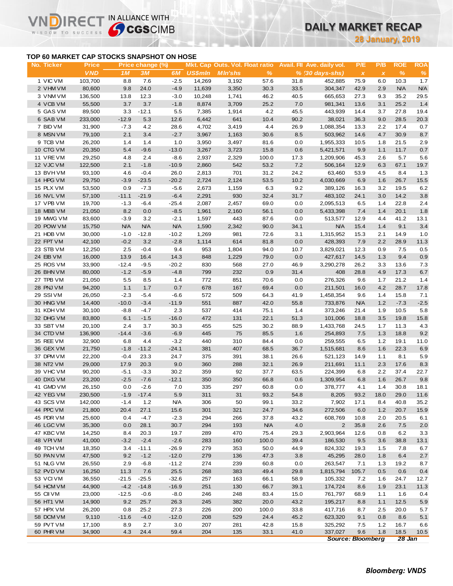# **DAILY MARKET RECAP**

**28 January, 2019**

### **TOP 60 MARKET CAP STOCKS SNAPSHOT ON HOSE**

 $R \in C$ 

IN ALLIANCE WITH

|                                           |                            |            |                        |              |                |                                                   |                    |             |                                                 |                                  | <b>28 January, 2019</b>  |                    |                    |
|-------------------------------------------|----------------------------|------------|------------------------|--------------|----------------|---------------------------------------------------|--------------------|-------------|-------------------------------------------------|----------------------------------|--------------------------|--------------------|--------------------|
| TOP 60 MARKET CAP STOCKS SNAPSHOT ON HOSE |                            |            |                        |              |                |                                                   |                    |             |                                                 |                                  |                          |                    |                    |
| No. Ticker                                | <b>Price</b><br><b>VND</b> | 1M         | Price change (%)<br>3M | 6M           | <b>US\$mln</b> | Mkt. Cap Outs. Vol. Float ratio<br><b>MIn'shs</b> | %                  |             | Avail. Fil Ave. daily vol.<br>$% (30 days-shs)$ | P/E<br>$\boldsymbol{\mathsf{x}}$ | P/B<br>$\pmb{\chi}$      | <b>ROE</b><br>$\%$ | <b>ROA</b><br>$\%$ |
| 1 VIC VM                                  | 103,700                    | 8.8        | 7.6                    | $-2.5$       | 14,269         | 3,192                                             | 57.6               | 31.8        | 452,885                                         | 75.9                             | 6.0                      | 10.3               | 1.7                |
| 2 VHM VM                                  | 80,600                     | 9.8        | 24.0                   | $-4.9$       | 11,639         | 3,350                                             | 30.3               | 33.5        | 304,347                                         | 42.9                             | 2.9                      | <b>N/A</b>         | <b>N/A</b>         |
| 3 VNM VM                                  | 136,500                    | 13.8       | 12.3                   | $-3.0$       | 10,248         | 1,741                                             | 46.2               | 40.5        | 665,653                                         | 27.3                             | 9.3                      | 35.2               | 29.5               |
| 4 VCB VM                                  | 55,500                     | 3.7        | 3.7                    | $-1.8$       | 8,874          | 3,709                                             | 25.2               | 7.0         | 981,341                                         | 13.6                             | 3.1                      | 25.2               | 1.4                |
| 5 GAS VM                                  | 89,500                     | 3.3        | $-12.1$                | 5.5          | 7,385          | 1,914                                             | 4.2                | 45.5        | 443,939                                         | 14.4                             | 3.7                      | 27.8               | 19.4               |
| 6 SAB VM                                  | 233,000                    | $-12.9$    | 5.3                    | 12.6         | 6,442          | 641                                               | 10.4               | 90.2        | 38,021                                          | 36.3                             | 9.0                      | 28.5               | 20.3               |
| 7 BID VM                                  | 31,900                     | $-7.3$     | 4.2                    | 28.6         | 4,702          | 3,419                                             | 4.4                | 26.9        | 1,088,354                                       | 13.3                             | 2.2                      | 17.4               | 0.7                |
| 8 MSN VM                                  | 79,100                     | 2.1        | 3.4                    | $-2.7$       | 3,967          | 1,163                                             | 30.6               | 8.5         | 503,962                                         | 14.6                             | 4.7                      | 30.9               | 8.7                |
| 9 TCB VM                                  | 26,200                     | 1.4        | 1.4                    | 1.0          | 3,950          | 3,497                                             | 81.6               | 0.0         | 1,955,333                                       | 10.5                             | 1.8                      | 21.5               | 2.9                |
| 10 CTG VM                                 | 20,350                     | 5.4        | $-9.6$                 | $-13.0$      | 3,267          | 3,723                                             | 15.8               | 0.6         | 5,421,571                                       | 9.9                              | 1.1                      | 11.7               | 0.7                |
| 11 VREVM                                  | 29,250                     | 4.8        | 2.4                    | $-8.6$       | 2,937          | 2,329                                             | 100.0              | 17.3        | 1,209,906                                       | 45.3                             | 2.6                      | 5.7                | 5.6                |
| 12 VJC VM                                 | 122,500                    | 2.1        | $-1.8$                 | $-10.9$      | 2,860          | 542                                               | 53.2               | 7.2         | 506,164                                         | 12.9                             | 6.3                      | 67.1               | 19.7               |
| 13 BVHVM                                  | 93,100                     | 4.6        | $-0.4$                 | 26.0         | 2,813          | 701                                               | 31.2               | 24.2        | 63,460                                          | 53.9                             | 4.5                      | 8.4                | 1.3                |
| 14 HPG VM                                 | 29,750                     | $-3.9$     | $-23.5$                | $-20.2$      | 2,724          | 2,124                                             | 53.5               | 10.2        | 4,030,669                                       | 6.9                              | 1.6                      | 26.7               | 15.5               |
| 15 PLX VM                                 | 53,500                     | 0.9        | $-7.3$                 | $-5.6$       | 2,673          | 1,159                                             | 6.3                | 9.2         | 389,126                                         | 16.3                             | 3.2                      | 19.5               | 6.2                |
| 16 NVL VM                                 | 57,100                     | $-11.1$    | $-21.9$                | $-6.4$       | 2,291          | 930                                               | 32.4               | 31.7        | 483,102                                         | 24.1                             | 3.0                      | 14.2               | 3.8                |
| 17 VPB VM                                 | 19,700                     | $-1.3$     | -6.4                   | $-25.4$      | 2,087          | 2,457                                             | 69.0               | 0.0         | 2,095,513                                       | 6.5                              | 1.4                      | 22.8               | 2.4                |
| 18 MBB VM                                 | 21,050                     | 8.2        | 0.0                    | $-8.5$       | 1,961          | 2,160                                             | 56.1               | 0.0         | 5,433,398                                       | 7.4                              | 1.4                      | 20.1               | 1.8                |
| 19 MWG VM                                 | 83,600                     | $-3.9$     | 3.2                    | $-2.1$       | 1,597          | 443                                               | 87.6               | 0.0         | 513,577                                         | 12.9                             | 4.4                      | 41.2               | 13.1               |
| 20 POW VM                                 | 15,750                     | <b>N/A</b> | N/A                    | <b>N/A</b>   | 1,590          | 2,342                                             | 90.0               | 34.1        | <b>N/A</b>                                      | 15.4                             | 1.4                      | 9.1                | 3.4                |
| 21 HDB VM                                 | 30,000                     | $-1.0$     | $-12.8$                | $-10.2$      | 1,269          | 981                                               | 72.6               | 3.1         | 1,315,952                                       | 15.3                             | 2.1                      | 14.9               | 1.0                |
| 22 FPT VM                                 | 42,100                     | $-0.2$     | 3.2                    | $-2.8$       | 1,114          | 614                                               | 81.8               | 0.0         | 428,393                                         | 7.9                              | 2.2                      | 28.9               | 11.3               |
| 23 STB VM                                 | 12,250                     | 2.5        | $-0.4$                 | 9.4          | 953            | 1,804                                             | 94.0               | 10.7        | 3,829,021                                       | 12.3                             | 0.9                      | 7.5                | 0.5                |
| 24 EIB VM                                 | 16,000                     | 13.9       | 16.4                   | 14.3         | 848            | 1,229                                             | 79.0               | 0.0         | 427,617                                         | 14.5                             | 1.3                      | 9.4                | 0.9                |
| 25 ROS VM                                 | 33,900                     | $-12.4$    | $-9.5$                 | $-20.2$      | 830            | 568                                               | 27.0               | 46.9        | 3,290,278                                       | 26.2                             | 3.3                      | 13.6               | 7.3                |
| 26 BHN VM                                 | 80,000                     | $-1.2$     | $-5.9$                 | $-4.8$       | 799            | 232                                               | 0.9                | 31.4        | 408                                             | 28.8                             | 4.9                      | 17.3               | 6.7                |
| 27 TPB VM                                 | 21,050                     | 5.5        | 8.5                    | 1.4          | 772            | 851                                               | 70.6               | 0.0         | 276,326                                         | 9.6                              | 1.7                      | 21.2               | 1.4                |
| 28 PNJ VM                                 | 94,200                     | 1.1        | 1.7                    | 0.7          | 678            | 167                                               | 69.4               | 0.0         | 211,501                                         | 16.0                             | 4.2                      | 28.7               | 17.8               |
| 29 SSIVM                                  | 26,050                     | $-2.3$     | -5.4                   | $-6.6$       | 572            | 509                                               | 64.3               | 41.9        | 1,458,354                                       | 9.6                              | 1.4                      | 15.8               | 7.1                |
| 30 HNG VM                                 | 14,400                     | $-10.0$    | $-3.4$                 | $-11.9$      | 551            | 887                                               | 42.0               | 55.8        | 733,876                                         | <b>N/A</b>                       | 1.2                      | $-7.3$             | $-2.5$             |
| 31 KDH VM                                 | 30,100                     | $-8.8$     | $-4.7$                 | 2.3          | 537            | 414                                               | 75.1               | 1.4         | 373,246                                         | 21.4                             | 1.9                      | 10.5               | 5.8                |
| 32 DHG VM                                 | 83,800                     | 6.1        | $-1.5$                 | $-16.0$      | 472            | 131                                               | 22.1               | 51.3        | 101,006                                         | 18.8                             | 3.5                      | 19.8               | 15.8               |
| 33 SBT VM                                 | 20,100                     | 2.4        | 3.7                    | 30.3         | 455            | 525                                               | 30.2               | 88.9        | 1,433,768                                       | 24.5                             | 1.7                      | 11.3               | 4.3                |
| 34 CTD VM                                 | 136,900                    | $-14.4$    | $-3.6$                 | $-6.9$       | 445            | 75                                                | 85.5               | 1.6         | 254,893                                         | 7.5                              | 1.3                      | 18.8               | 9.2                |
| 35 REE VM                                 | 32,900                     | 6.8        | 4.4                    | $-3.2$       | 440            | 310                                               | 84.4               | 0.0         | 259,555                                         | 6.5                              | 1.2                      | 19.1               | 11.0               |
| 36 GEX VM                                 | 21,750                     | $-1.8$     | $-11.2$                | $-24.1$      | 381            | 407                                               | 68.5               | 36.7        | 1,515,681                                       | 8.6                              | 1.6                      | 22.3               | 6.9                |
| 37 DPM VM                                 | 22,200                     | $-0.4$     | 23.3                   | 24.7         | 375            | 391                                               | 38.1               | 26.6        | 521,123                                         | 14.9                             | 1.1                      | 8.1                | 5.9                |
| 38 NT2 VM                                 | 29,000                     | 17.9       | 20.3                   | 9.0          | 360            | 288                                               | 32.1               | 26.9        | 211,691                                         | 11.1                             | 2.3                      | 17.6               | 8.3                |
| 39 VHC VM                                 | 90,200                     | $-5.1$     | $-3.3$                 | 30.2         | 359            | 92                                                | 37.7               | 63.5        | 224,399                                         | 6.8                              | 2.2                      | 37.4               | 22.7               |
| 40 DXG VM                                 | 23,200                     | $-2.5$     | $-7.6$                 | $-12.1$      | 350            | 350                                               | 66.8               | 0.6         | 1,309,954                                       | 6.8                              | 1.6                      | 26.7               | 9.8                |
| 41 GMD VM                                 | 26,150                     | 0.0        | $-2.6$                 | 7.0          | 335            | 297                                               | 60.8               | 0.0         | 378,777                                         | 4.1                              | 1.4                      | 30.8               | 18.1               |
| 42 YEG VM                                 | 230,500                    | $-1.9$     | $-17.4$                | $5.9\,$      | 311            | 31                                                | 93.2               | 54.8        | 8,205                                           | 93.2                             | 18.0                     | 29.0               | 11.6               |
| 43 SCS VM                                 | 142,000                    | $-1.4$     | $1.2$                  | <b>N/A</b>   | 306            | 50                                                | 99.1               | 33.2        | 7,902                                           | 17.1                             | 8.4                      | 40.8               | 35.2               |
| 44 PPC VM                                 | 21,800                     | 20.4       | 27.1                   | 15.6         | 301            | 321                                               | 24.7               | 34.6        | 272,506                                         | 6.0                              | 1.2                      | 20.7               | 15.9               |
| 45 PDR VM                                 | 25,600                     | 0.4        | $-4.7$                 | $-2.3$       | 294            | 266                                               | 37.8               | 43.2        | 608,769<br>2                                    | 10.8                             | 2.0                      | 20.5               | 6.1                |
| 46 LGC VM<br>47 KBC VM                    | 35,300<br>14,250           | 0.0<br>8.4 | 28.1<br>20.3           | 30.7<br>19.7 | 294<br>289     | 193<br>470                                        | <b>N/A</b><br>75.4 | 4.0<br>29.3 | 2,903,964                                       | 35.8<br>12.6                     | 2.6                      | 7.5<br>6.2         | 2.0                |
| 48 VPIVM                                  | 41,000                     | $-3.2$     | $-2.4$                 | $-2.6$       | 283            | 160                                               | 100.0              | 39.4        | 186,530                                         | 9.5                              | 0.8<br>3.6               | 38.8               | 3.3<br>13.1        |
| 49 TCH VM                                 | 18,350                     | 3.4        | $-11.1$                | $-26.9$      | 279            | 353                                               | 50.0               | 44.9        | 824,332                                         | 19.3                             | $1.5$                    | 7.8                | 6.7                |
| 50 PAN VM                                 | 47,500                     | 9.2        | $-1.2$                 | $-12.0$      | 279            | 136                                               | 47.3               | 3.8         | 45,295                                          | 28.0                             | 1.8                      | 6.4                | 2.7                |
| 51 NLG VM                                 | 26,550                     | 2.9        | $-6.8$                 | $-11.2$      | 274            | 239                                               | 60.8               | 0.0         | 263,547                                         | 7.1                              | 1.3                      | 19.2               | 8.7                |
| 52 PVD VM                                 | 16,250                     | 11.3       | 7.6                    | 25.5         | 268            | 383                                               | 49.4               | 29.8        | 1,815,794                                       | 105.7                            | 0.5                      | 0.6                | 0.4                |
| 53 VCIVM                                  | 36,550                     | -21.5      | $-25.5$                | $-32.6$      | 257            | 163                                               | 66.1               | 58.9        | 105,332                                         | 7.2                              | 1.6                      | 24.7               | 12.7               |
| 54 HCM VM                                 | 44,900                     | $-4.2$     | $-14.8$                | $-16.9$      | 251            | 130                                               | 66.7               | 39.1        | 174,724                                         | 8.6                              | 1.9                      | 23.1               | 11.3               |
| 55 CII VM                                 | 23,000                     | $-12.5$    | $-0.6$                 | $-8.0$       | 246            | 248                                               | 83.4               | 15.0        | 761,797                                         | 68.9                             | 1.1                      | 1.6                | 0.4                |
| 56 HT1 VM                                 | 14,900                     | 9.2        | 25.7                   | 26.3         | 245            | 382                                               | 20.0               | 43.2        | 195,217                                         | 8.8                              | 1.1                      | 12.5               | 5.9                |
| 57 HPX VM                                 | 26,200                     | 0.8        | 25.2                   | 27.3         | 226            | 200                                               | 100.0              | 33.8        | 417,716                                         | 8.7                              | 2.5                      | 20.0               | 5.7                |
| 58 DCM VM                                 | 9,110                      | $-11.6$    | $-4.0$                 | $-12.0$      | 208            | 529                                               | 24.4               | 45.2        | 623,320                                         | 9.1                              | 0.8                      | 8.6                | $5.1$              |
| 59 PVT VM                                 | 17,100                     | 8.9        | 2.7                    | 3.0          | 207            | 281                                               | 42.8               | 15.8        | 325,292                                         | 7.5                              | $1.2$                    | 16.7               | 6.6                |
| 60 PHR VM                                 | 34,900                     | 4.3        | 24.4                   | 59.4         | 204            | 135                                               | 33.1               | 41.0        | 337,027                                         | 9.6                              | 1.8                      | 18.5               | 10.5               |
|                                           |                            |            |                        |              |                |                                                   |                    |             |                                                 |                                  | <b>Source: Bloomberg</b> | 28 Jan             |                    |